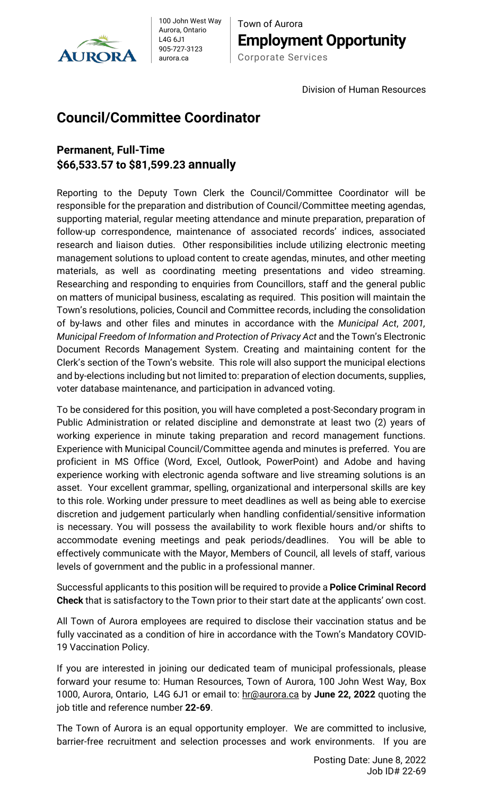

100 John West Way Aurora, Ontario L4G 6J1 905-727-3123 aurora.ca

Town of Aurora **Employment Opportunity** Corporate Services

Division of Human Resources

## **Council/Committee Coordinator**

## **Permanent, Full-Time \$66,533.57 to \$81,599.23 annually**

Reporting to the Deputy Town Clerk the Council/Committee Coordinator will be responsible for the preparation and distribution of Council/Committee meeting agendas, supporting material, regular meeting attendance and minute preparation, preparation of follow-up correspondence, maintenance of associated records' indices, associated research and liaison duties. Other responsibilities include utilizing electronic meeting management solutions to upload content to create agendas, minutes, and other meeting materials, as well as coordinating meeting presentations and video streaming. Researching and responding to enquiries from Councillors, staff and the general public on matters of municipal business, escalating as required. This position will maintain the Town's resolutions, policies, Council and Committee records, including the consolidation of by-laws and other files and minutes in accordance with the *Municipal Act*, *2001, Municipal Freedom of Information and Protection of Privacy Act* and the Town's Electronic Document Records Management System. Creating and maintaining content for the Clerk's section of the Town's website. This role will also support the municipal elections and by-elections including but not limited to: preparation of election documents, supplies, voter database maintenance, and participation in advanced voting.

To be considered for this position, you will have completed a post-Secondary program in Public Administration or related discipline and demonstrate at least two (2) years of working experience in minute taking preparation and record management functions. Experience with Municipal Council/Committee agenda and minutes is preferred. You are proficient in MS Office (Word, Excel, Outlook, PowerPoint) and Adobe and having experience working with electronic agenda software and live streaming solutions is an asset. Your excellent grammar, spelling, organizational and interpersonal skills are key to this role. Working under pressure to meet deadlines as well as being able to exercise discretion and judgement particularly when handling confidential/sensitive information is necessary. You will possess the availability to work flexible hours and/or shifts to accommodate evening meetings and peak periods/deadlines. You will be able to effectively communicate with the Mayor, Members of Council, all levels of staff, various levels of government and the public in a professional manner.

Successful applicants to this position will be required to provide a **Police Criminal Record Check** that is satisfactory to the Town prior to their start date at the applicants' own cost.

All Town of Aurora employees are required to disclose their vaccination status and be fully vaccinated as a condition of hire in accordance with the Town's Mandatory COVID-19 Vaccination Policy.

If you are interested in joining our dedicated team of municipal professionals, please forward your resume to: Human Resources, Town of Aurora, 100 John West Way, Box 1000, Aurora, Ontario, L4G 6J1 or email to: [hr@aurora.ca](mailto:hr@aurora.ca) by **June 22, 2022** quoting the job title and reference number **22-69**.

The Town of Aurora is an equal opportunity employer. We are committed to inclusive, barrier-free recruitment and selection processes and work environments. If you are